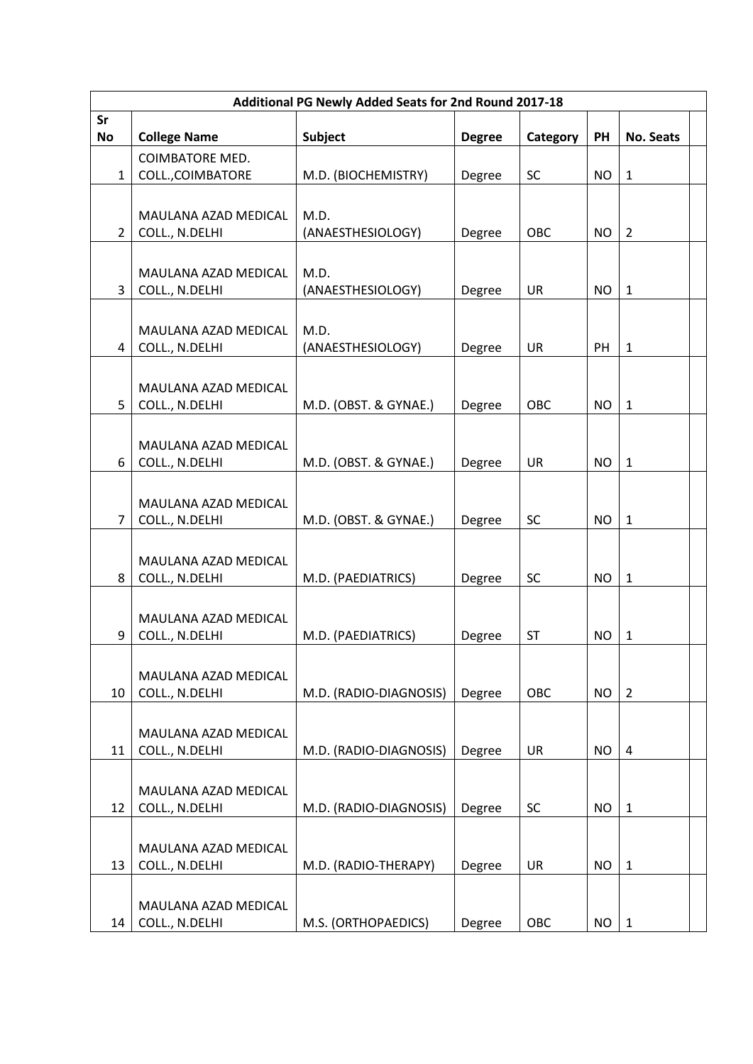| Additional PG Newly Added Seats for 2nd Round 2017-18 |                                               |                           |               |           |           |                  |  |
|-------------------------------------------------------|-----------------------------------------------|---------------------------|---------------|-----------|-----------|------------------|--|
| Sr<br><b>No</b>                                       | <b>College Name</b>                           | Subject                   | <b>Degree</b> | Category  | PH        | <b>No. Seats</b> |  |
| $\mathbf{1}$                                          | <b>COIMBATORE MED.</b><br>COLL., COIMBATORE   | M.D. (BIOCHEMISTRY)       | Degree        | <b>SC</b> | <b>NO</b> | $\mathbf{1}$     |  |
| $\overline{2}$                                        | MAULANA AZAD MEDICAL<br>COLL., N.DELHI        | M.D.<br>(ANAESTHESIOLOGY) | Degree        | OBC       | <b>NO</b> | $\overline{2}$   |  |
| 3                                                     | <b>MAULANA AZAD MEDICAL</b><br>COLL., N.DELHI | M.D.<br>(ANAESTHESIOLOGY) | Degree        | <b>UR</b> | <b>NO</b> | $\mathbf{1}$     |  |
| 4                                                     | MAULANA AZAD MEDICAL<br>COLL., N.DELHI        | M.D.<br>(ANAESTHESIOLOGY) | Degree        | <b>UR</b> | PH        | $\mathbf{1}$     |  |
| 5                                                     | MAULANA AZAD MEDICAL<br>COLL., N.DELHI        | M.D. (OBST. & GYNAE.)     | Degree        | OBC       | <b>NO</b> | $\mathbf{1}$     |  |
| 6                                                     | MAULANA AZAD MEDICAL<br>COLL., N.DELHI        | M.D. (OBST. & GYNAE.)     | Degree        | <b>UR</b> | <b>NO</b> | $1\,$            |  |
| $\overline{7}$                                        | MAULANA AZAD MEDICAL<br>COLL., N.DELHI        | M.D. (OBST. & GYNAE.)     | Degree        | SC        | <b>NO</b> | $\mathbf{1}$     |  |
| 8                                                     | MAULANA AZAD MEDICAL<br>COLL., N.DELHI        | M.D. (PAEDIATRICS)        | Degree        | <b>SC</b> | <b>NO</b> | $\mathbf 1$      |  |
| 9                                                     | MAULANA AZAD MEDICAL<br>COLL., N.DELHI        | M.D. (PAEDIATRICS)        | Degree        | <b>ST</b> | <b>NO</b> | $\mathbf{1}$     |  |
| 10                                                    | MAULANA AZAD MEDICAL<br>COLL., N.DELHI        | M.D. (RADIO-DIAGNOSIS)    | Degree        | OBC       | <b>NO</b> | $\overline{2}$   |  |
| 11                                                    | MAULANA AZAD MEDICAL<br>COLL., N.DELHI        | M.D. (RADIO-DIAGNOSIS)    | Degree        | <b>UR</b> | <b>NO</b> | $\overline{4}$   |  |
| 12                                                    | MAULANA AZAD MEDICAL<br>COLL., N.DELHI        | M.D. (RADIO-DIAGNOSIS)    | Degree        | SC        | <b>NO</b> | $1\,$            |  |
| 13                                                    | MAULANA AZAD MEDICAL<br>COLL., N.DELHI        | M.D. (RADIO-THERAPY)      | Degree        | <b>UR</b> | <b>NO</b> | $\mathbf{1}$     |  |
| 14                                                    | MAULANA AZAD MEDICAL<br>COLL., N.DELHI        | M.S. (ORTHOPAEDICS)       | Degree        | OBC       | NO.       | $\mathbf{1}$     |  |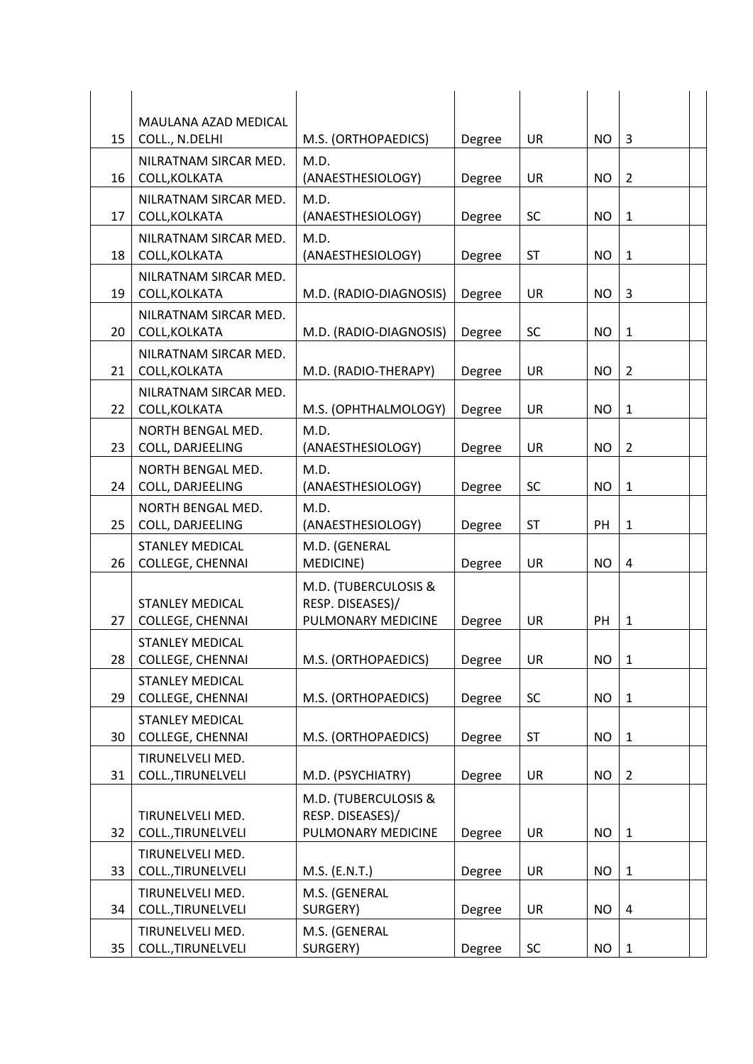|    | MAULANA AZAD MEDICAL                              |                                                                |        |           |           |                |  |
|----|---------------------------------------------------|----------------------------------------------------------------|--------|-----------|-----------|----------------|--|
| 15 | COLL., N.DELHI                                    | M.S. (ORTHOPAEDICS)                                            | Degree | <b>UR</b> | <b>NO</b> | 3              |  |
| 16 | NILRATNAM SIRCAR MED.<br>COLL, KOLKATA            | M.D.<br>(ANAESTHESIOLOGY)                                      | Degree | <b>UR</b> | <b>NO</b> | $\overline{2}$ |  |
| 17 | NILRATNAM SIRCAR MED.<br>COLL, KOLKATA            | M.D.<br>(ANAESTHESIOLOGY)                                      | Degree | SC        | <b>NO</b> | $\mathbf{1}$   |  |
| 18 | NILRATNAM SIRCAR MED.<br>COLL, KOLKATA            | M.D.<br>(ANAESTHESIOLOGY)                                      | Degree | <b>ST</b> | NO.       | $\mathbf{1}$   |  |
| 19 | NILRATNAM SIRCAR MED.<br>COLL, KOLKATA            | M.D. (RADIO-DIAGNOSIS)                                         | Degree | UR        | NO.       | 3              |  |
| 20 | NILRATNAM SIRCAR MED.<br>COLL, KOLKATA            | M.D. (RADIO-DIAGNOSIS)                                         | Degree | SC        | <b>NO</b> | $\mathbf{1}$   |  |
| 21 | NILRATNAM SIRCAR MED.<br>COLL, KOLKATA            | M.D. (RADIO-THERAPY)                                           | Degree | <b>UR</b> | <b>NO</b> | $\overline{2}$ |  |
| 22 | NILRATNAM SIRCAR MED.<br>COLL, KOLKATA            | M.S. (OPHTHALMOLOGY)                                           | Degree | <b>UR</b> | <b>NO</b> | $1\,$          |  |
| 23 | NORTH BENGAL MED.<br>COLL, DARJEELING             | M.D.<br>(ANAESTHESIOLOGY)                                      | Degree | <b>UR</b> | NO.       | $\overline{2}$ |  |
| 24 | NORTH BENGAL MED.<br>COLL, DARJEELING             | M.D.<br>(ANAESTHESIOLOGY)                                      | Degree | SC        | <b>NO</b> | $\mathbf{1}$   |  |
| 25 | NORTH BENGAL MED.<br>COLL, DARJEELING             | M.D.<br>(ANAESTHESIOLOGY)                                      | Degree | <b>ST</b> | PH        | $1\,$          |  |
| 26 | <b>STANLEY MEDICAL</b><br><b>COLLEGE, CHENNAI</b> | M.D. (GENERAL<br>MEDICINE)                                     | Degree | <b>UR</b> | <b>NO</b> | $\overline{4}$ |  |
| 27 | <b>STANLEY MEDICAL</b><br><b>COLLEGE, CHENNAI</b> | M.D. (TUBERCULOSIS &<br>RESP. DISEASES)/<br>PULMONARY MEDICINE | Degree | <b>UR</b> | PH        | $1\,$          |  |
| 28 | <b>STANLEY MEDICAL</b><br>COLLEGE, CHENNAI        | M.S. (ORTHOPAEDICS)                                            | Degree | UR        | <b>NO</b> | $\mathbf 1$    |  |
| 29 | <b>STANLEY MEDICAL</b><br><b>COLLEGE, CHENNAI</b> | M.S. (ORTHOPAEDICS)                                            | Degree | SC        | <b>NO</b> | $\mathbf{1}$   |  |
| 30 | <b>STANLEY MEDICAL</b><br>COLLEGE, CHENNAI        | M.S. (ORTHOPAEDICS)                                            | Degree | <b>ST</b> | <b>NO</b> | $\mathbf{1}$   |  |
| 31 | TIRUNELVELI MED.<br>COLL., TIRUNELVELI            | M.D. (PSYCHIATRY)                                              | Degree | <b>UR</b> | <b>NO</b> | $\overline{2}$ |  |
| 32 | TIRUNELVELI MED.<br>COLL., TIRUNELVELI            | M.D. (TUBERCULOSIS &<br>RESP. DISEASES)/<br>PULMONARY MEDICINE | Degree | <b>UR</b> | <b>NO</b> | $\mathbf{1}$   |  |
| 33 | TIRUNELVELI MED.<br>COLL., TIRUNELVELI            | M.S. (E.N.T.)                                                  | Degree | <b>UR</b> | <b>NO</b> | $\mathbf{1}$   |  |
| 34 | TIRUNELVELI MED.<br>COLL., TIRUNELVELI            | M.S. (GENERAL<br>SURGERY)                                      | Degree | <b>UR</b> | <b>NO</b> | $\overline{4}$ |  |
| 35 | TIRUNELVELI MED.<br>COLL., TIRUNELVELI            | M.S. (GENERAL<br>SURGERY)                                      | Degree | SC        | NO.       | $\mathbf{1}$   |  |